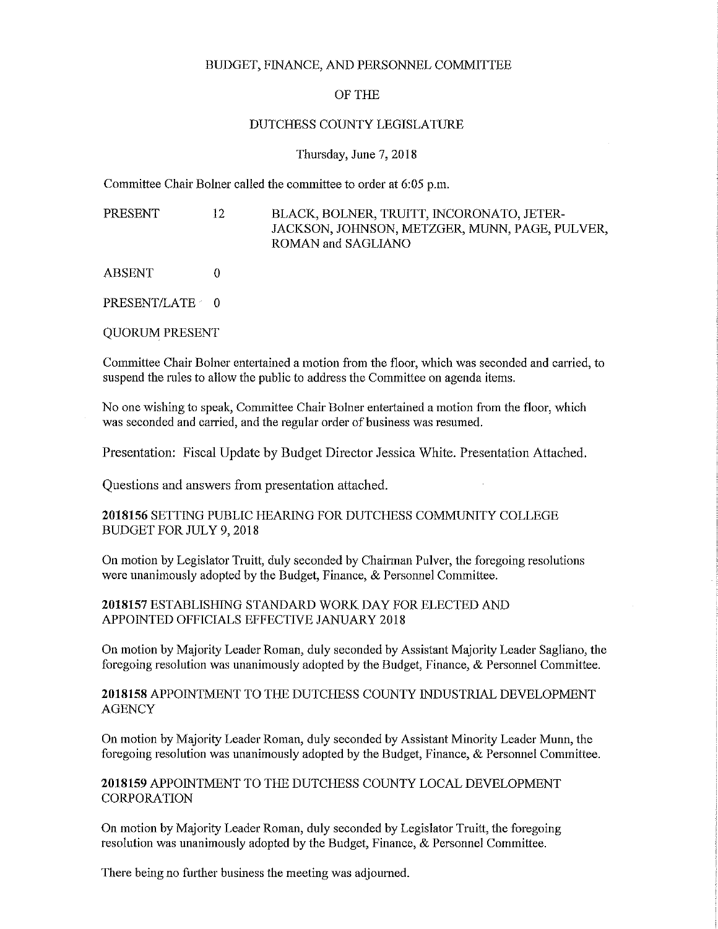# BUDGET, FINANCE, AND PERSONNEL COMMITTEE

# OF THE

## DUTCHESS COUNTY LEGISLATURE

## Thursday, June 7, 2018

Committee Chair Bolner called the committee to order at 6:05 p.m.

PRESENT 12 BLACK, BOLNER, TRUITT, INCORONATO, JETER-JACKSON, JOHNSON, METZGER, MUNN, PAGE, PULVER, ROMAN and SAGLIANO

ABSENT 0

PRESENT/LATE 0

QUORUM PRESENT

Committee Chair Bolner entertained a motion from the floor, which was seconded and carried, to suspend the rules to allow the public to address the Committee on agenda items.

No one wishing to speak, Committee Chair Bolner entertained a motion from the floor, which was seconded and carried, and the regular order of business was resumed.

Presentation: Fiscal Update by Budget Director Jessica White. Presentation Attached.

Questions and answers from presentation attached.

# **2018156** SETTING PUBLIC HEARING FOR DUTCHESS COMMUNITY COLLEGE BUDGET FOR JULY 9, 2018

On motion by Legislator Truitt, duly seconded by Chairman Pulver, the foregoing resolutions were unanimously adopted by the Budget, Finance, & Personnel Committee.

**2018157** ESTABLISHING STANDARD WORK DAY FOR ELECTED AND APPOINTED OFFICIALS EFFECTIVE JANUARY 2018

On motion by Majority Leader Roman, duly seconded by Assistant Majority Leader Sagliano, the foregoing resolution was unanimously adopted by the Budget, Finance, & Personnel Committee.

**2018158** APPOINTMENT TO THE DUTCHESS COUNTY INDUSTRIAL DEVELOPMENT AGENCY

On motion by Majority Leader Roman, duly seconded by Assistant Minority Leader Munn, the foregoing resolution was unanimously adopted by the Budget, Finance, & Personnel Committee.

**2018159** APPOINTMENT TO THE DUTCHESS COUNTY LOCAL DEVELOPMENT **CORPORATION** 

On motion by Majority Leader Roman, duly seconded by Legislator Truitt, the foregoing resolution was unanimously adopted by the Budget, Finance, & Personnel Committee.

There being no further business the meeting was adjourned.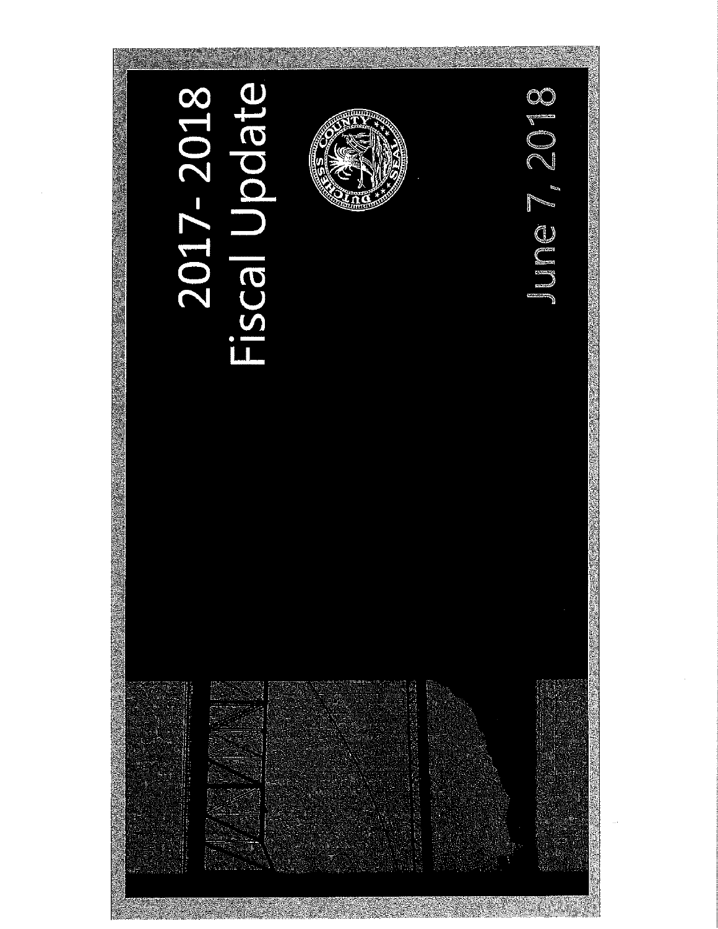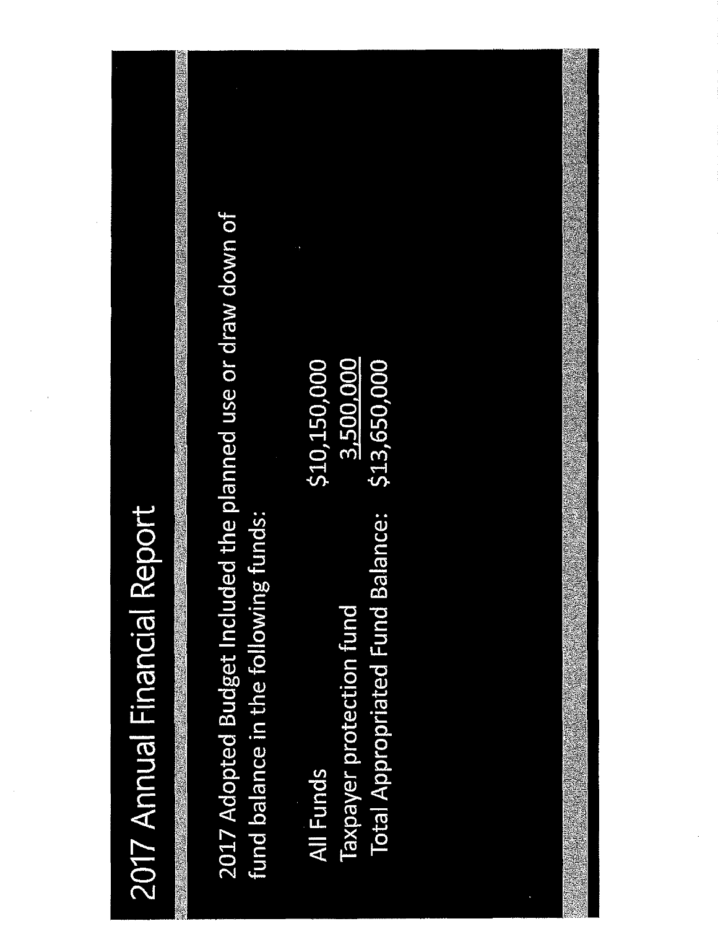

2017 Adopted Budget Included the planned use or draw down of fund balance in the following funds:

**Total Appropriated Fund Balance: Taxpayer protection fund** All Funds

3,500,000 \$13,650,000 \$10,150,000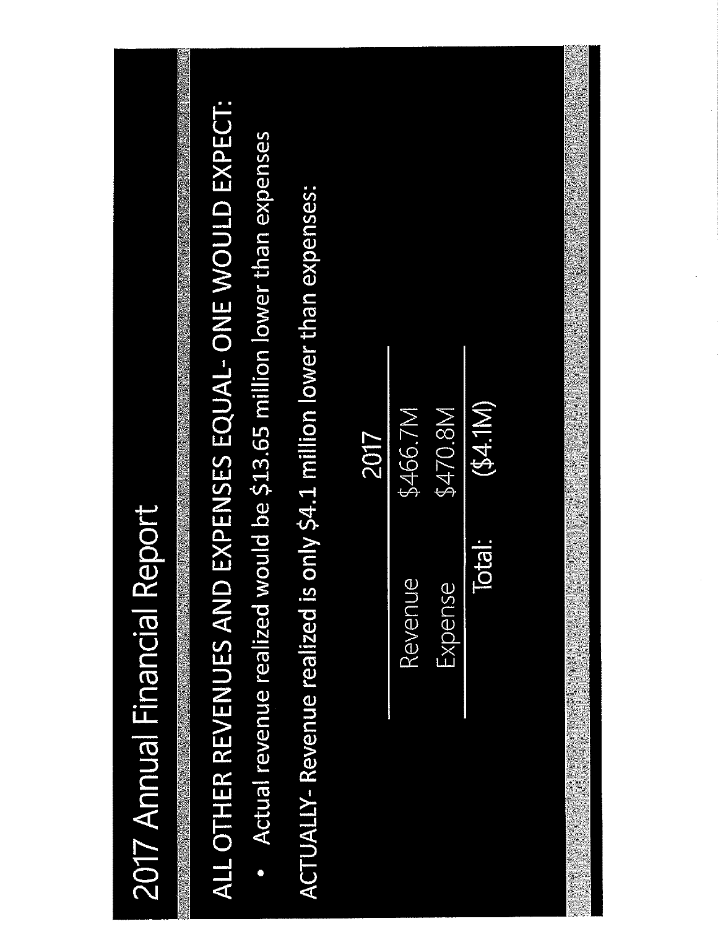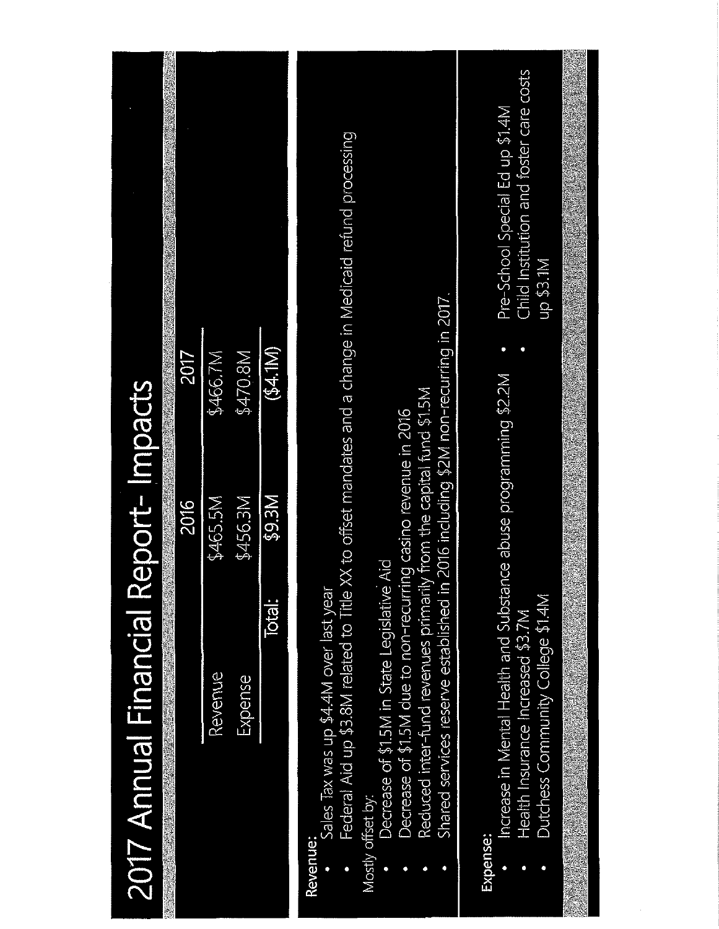|          | 2017 Annual Financial Report- Impacts                                                                                      |        |                              |             |                                                                                                         |
|----------|----------------------------------------------------------------------------------------------------------------------------|--------|------------------------------|-------------|---------------------------------------------------------------------------------------------------------|
|          |                                                                                                                            |        | 2016                         | 2017        |                                                                                                         |
|          | Revenue                                                                                                                    |        | \$465.5M                     | \$466.7M    |                                                                                                         |
|          | Expense                                                                                                                    |        | \$456.3M                     | \$470.8M    |                                                                                                         |
|          |                                                                                                                            | Total: | 39.3M                        | $($ \$4.1M) |                                                                                                         |
| Revenue: |                                                                                                                            |        |                              |             |                                                                                                         |
|          | Sales Tax was up \$4.4M over last year                                                                                     |        |                              |             | Federal Aid up \$3.8M related to Title XX to offset mandates and a change in Medicaid refund processing |
|          | Decrease of \$1.5M in State Legislative Aid<br>Mostly offset by:                                                           |        |                              |             |                                                                                                         |
|          | Decrease of \$1.5M due to non-recurring casino revenue in 2016                                                             |        |                              |             |                                                                                                         |
|          | Shared services reserve established in 2016 including \$2M non-recurring in 2017.<br>Reduced inter-fund revenues primarily |        | from the capital fund \$1.5M |             |                                                                                                         |
|          |                                                                                                                            |        |                              |             |                                                                                                         |
| Expense: |                                                                                                                            |        |                              |             |                                                                                                         |
|          | Increase in Mental Health and Substand                                                                                     |        | ce abuse programming \$2.2M  |             | Pre-School Special Ed up \$1.4M                                                                         |
|          | Health Insurance Increased \$3.7M                                                                                          |        |                              |             | Child Institution and foster care costs                                                                 |
|          | Dutchess Community College \$1.4M                                                                                          |        |                              |             | $\overline{M}$ is set the $\overline{M}$                                                                |
|          |                                                                                                                            |        |                              |             |                                                                                                         |

X.

I.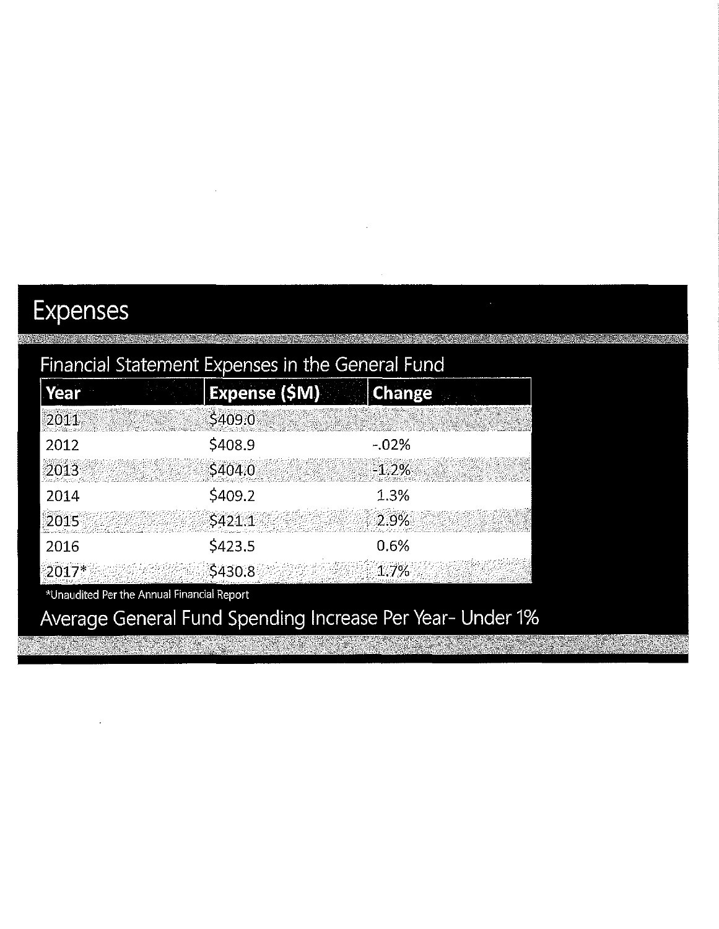# **Expenses**

# Financial Statement Expenses in the General Fund

| Year  | <b>Expense (\$M)</b> | <b>Change</b> |  |
|-------|----------------------|---------------|--|
| 2011  | \$409.0              |               |  |
| 2012  | \$408.9              | $-0.02%$      |  |
| 2013  | \$404.0              | $-1.2%$       |  |
| 2014  | \$409.2              | 1.3%          |  |
| 2015  | S421.1               | 2.9%          |  |
| 2016  | \$423.5              | 0.6%          |  |
| ാ∩17* | SARN R               |               |  |

\*Unaudited Per the Annual Financial Report

Average General Fund Spending Increase Per Year- Under 1%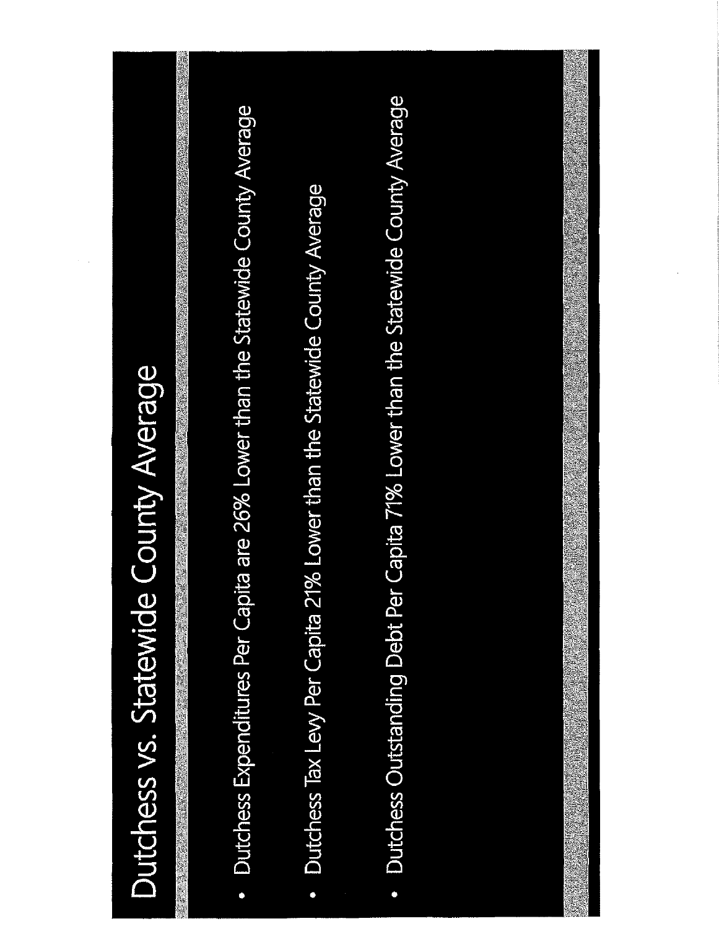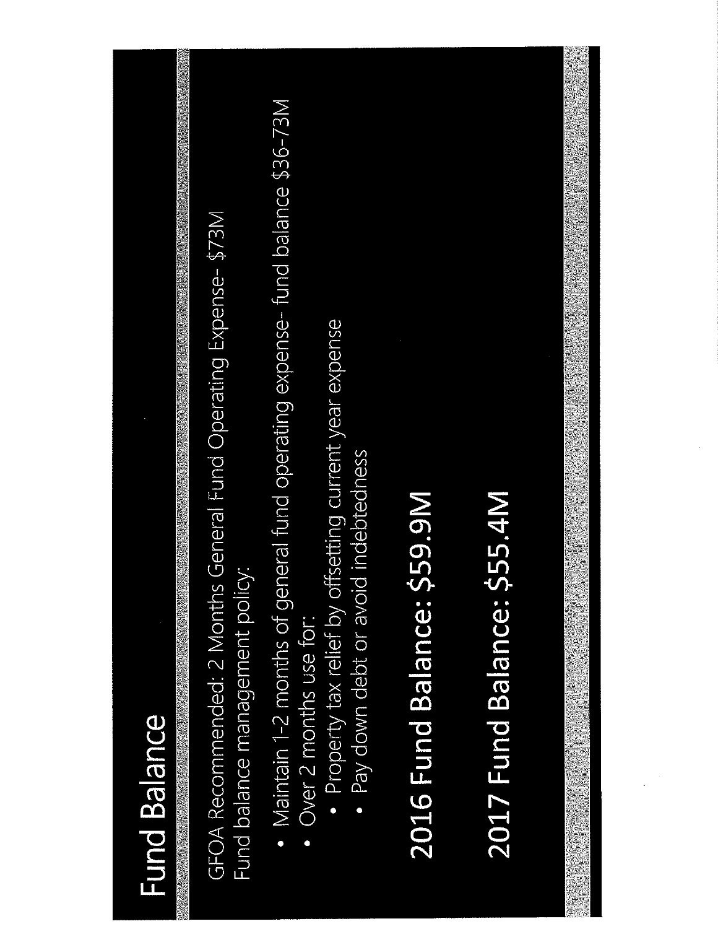

GFOA Recommended: 2 Months General Fund Operating Expense- \$73M Fund balance management policy:

- Maintain 1-2 months of general fund operating expense- fund balance \$36-73M
	- Over 2 months use for:
- · Property tax relief by offsetting current year expense
- · Pay down debt or avoid indebtedness

# 2016 Fund Balance: \$59.9M

# 2017 Fund Balance: \$55.4M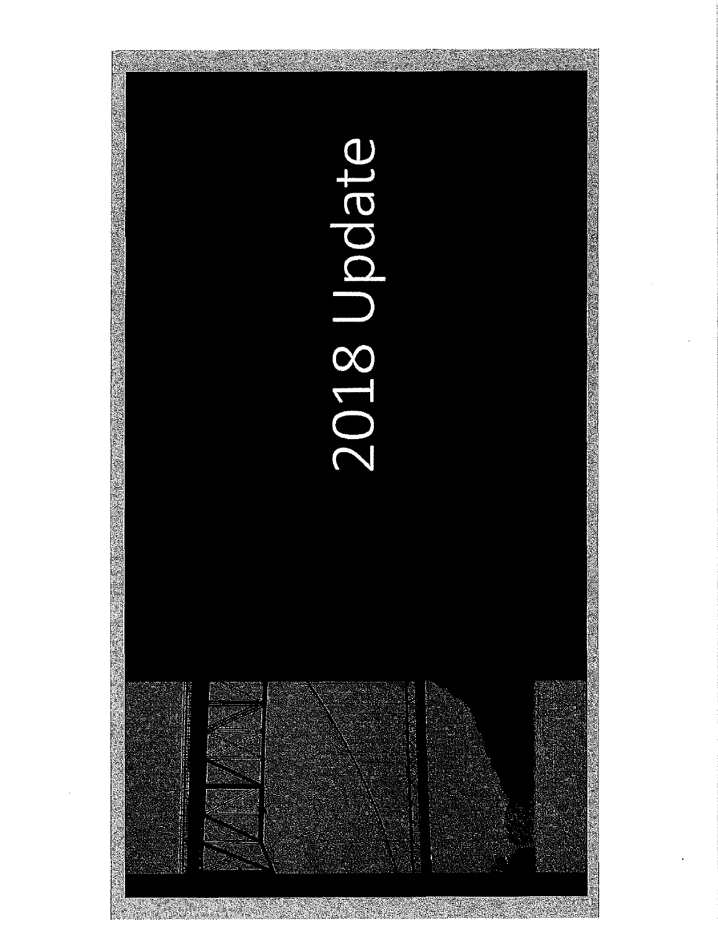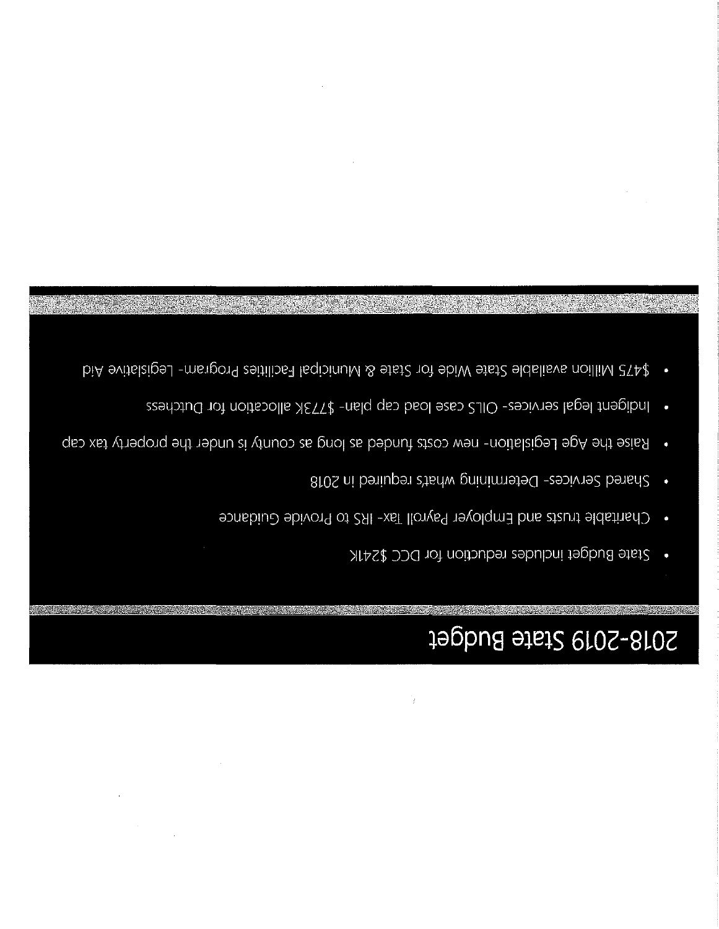# 2018-2019 State Budget

- State Budget includes reduction for DCC \$241K
- . Charitable trusts and Employer Payroll Tax- IRS to Provide Guidance
- Shared Services- Determining what's required in 2018
- . Indigent legal services-OILS case load cap plan- \$773K allocation for Dutchess

• Raise the Age Legislaion- new costs funded as long as county is under the property tax cap

• \$475 Million available State Wide for State & Municipal Facilities Program- Legistation bid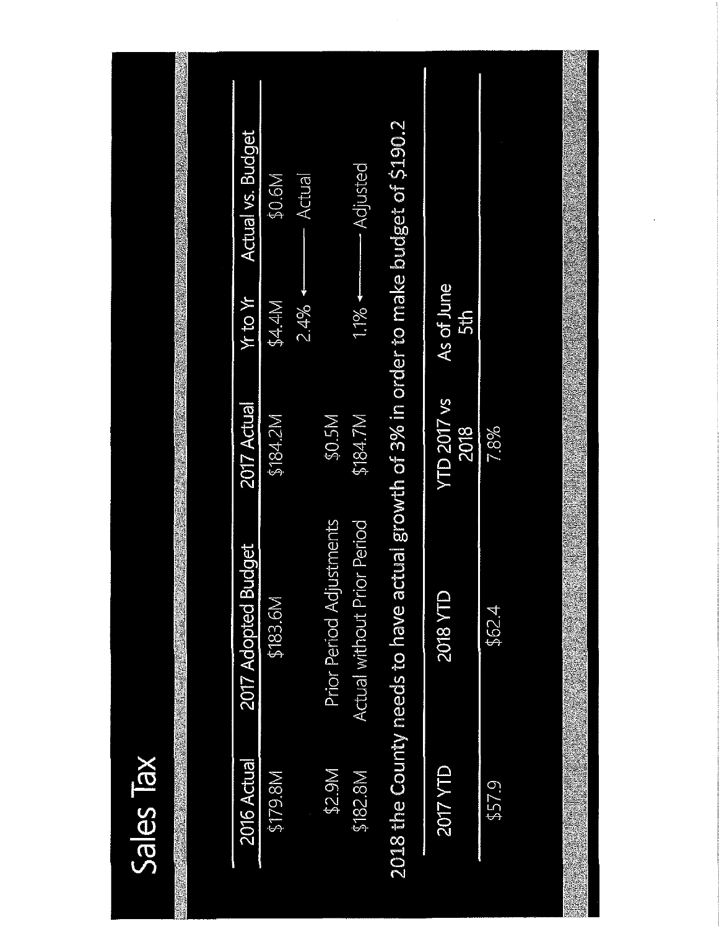| <b>Zeles</b> lax |                                                                                      |                     |                   |                   |
|------------------|--------------------------------------------------------------------------------------|---------------------|-------------------|-------------------|
|                  |                                                                                      |                     |                   |                   |
| 2016 Actual      | iget<br>2017 Adopted Bud                                                             | 2017 Actual         | $M$ to $M$        | Actual vs. Budget |
| \$179.8M         | \$183.6M                                                                             | \$184.2M            | \$4.4M            | \$0.6M            |
|                  |                                                                                      |                     | 2.4%              | Actual            |
| \$2.9M           | Prior Period Adjustments                                                             | \$0.5M              |                   |                   |
| \$182.8M         | Period<br><b>Actual without Prior</b>                                                | \$184.7M            | 1.1% -            | Adjusted          |
|                  | 2018 the County needs to have actual growth of 3% in order to make budget of \$190.2 |                     |                   |                   |
| 2017 YTD         | 2018 YTD                                                                             | YTD 2017 vs<br>2018 | As of June<br>5th |                   |
| \$57.9           | \$62.4                                                                               | 7.8%                |                   |                   |
|                  |                                                                                      |                     |                   |                   |
|                  |                                                                                      |                     |                   |                   |

蠿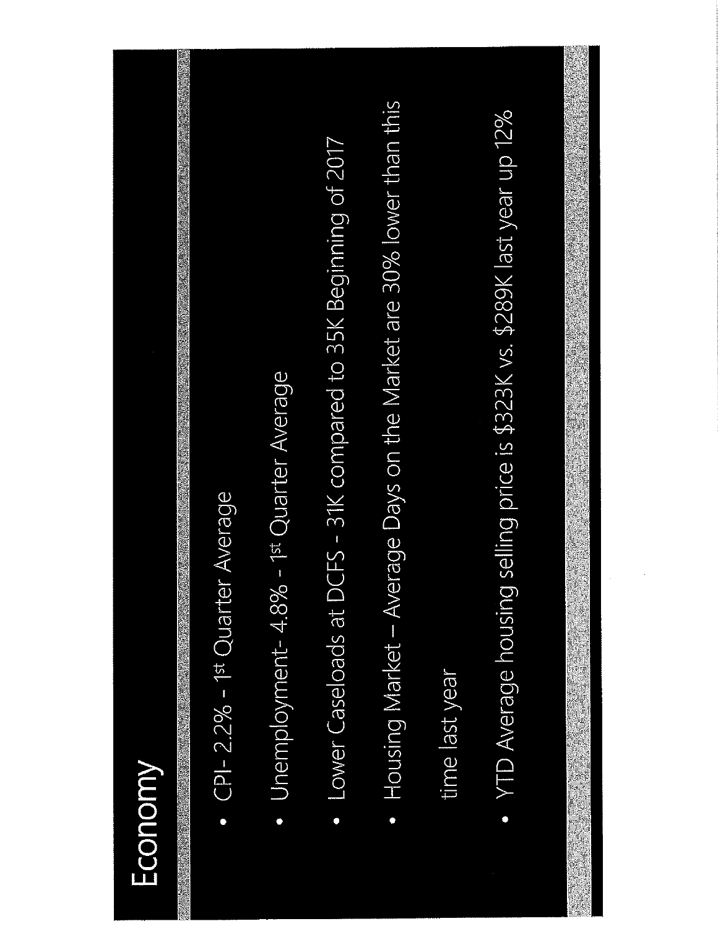

- CPI-2.2% 1st Quarter Average
- Unemployment-4.8% 1st Quarter Average
- Lower Caseloads at DCFS 31K compared to 35K Beginning of 2017
- Housing Market Average Days on the Market are 30% lower than this  $\bullet$

time last year

• YTD Average housing selling price is \$323K vs. \$289K last year up 12%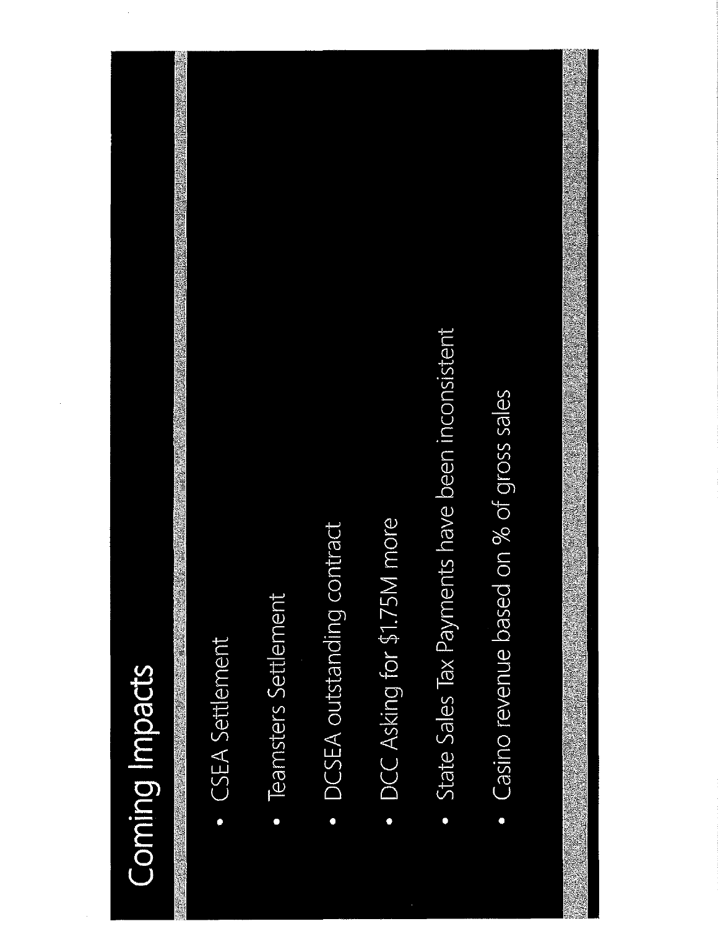

- **CSEA Settlement**  $\bullet$
- Teamsters Settlement
- · DCSEA outstanding contract
- DCC Asking for \$1.75M more
- State Sales Tax Payments have been inconsistent
- Casino revenue based on % of gross sales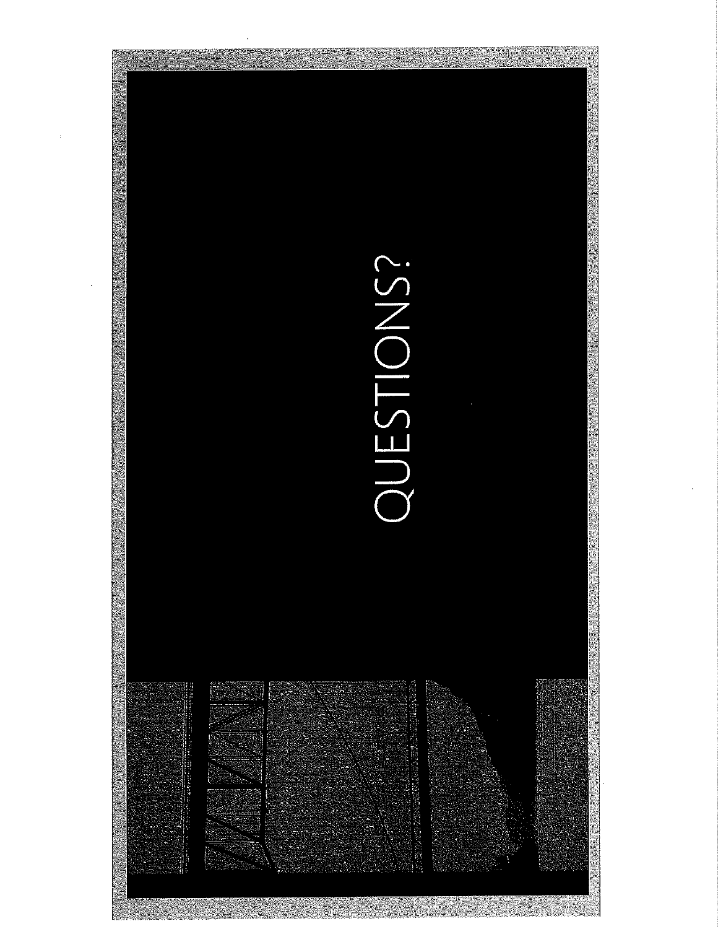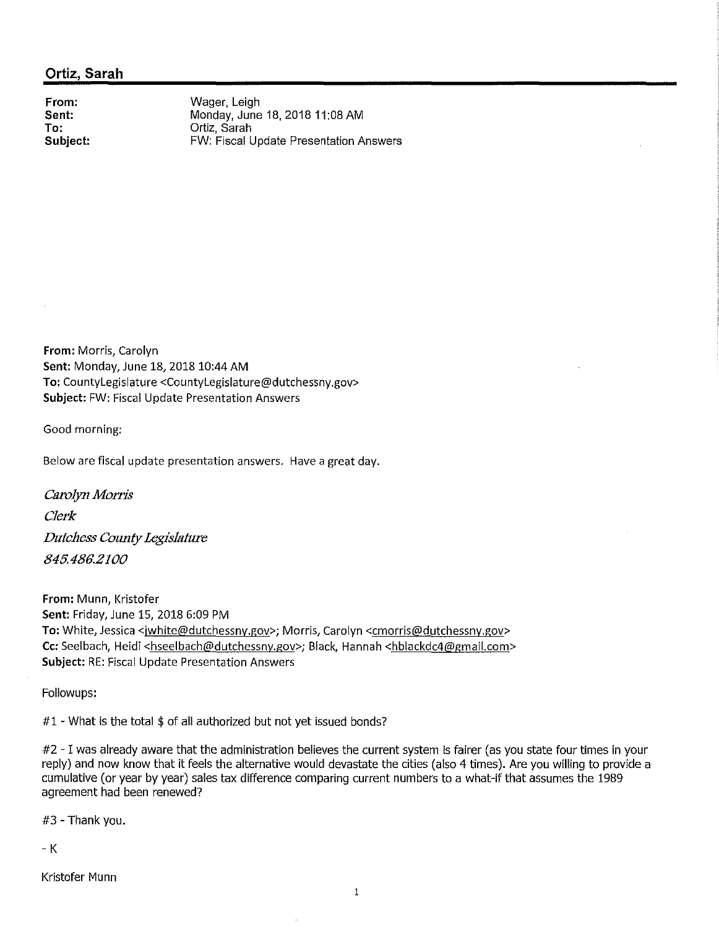**Sent: To:** 

**From:** Wager, Leigh Monday, June 18, 2018 11 :08 AM Ortiz, Sarah FW: Fiscal Update Presentation Answers

**From:** Morris, Carolyn **Sent:** Monday, June 18, 2018 10:44 AM **To:** Countylegislature <Countylegislature@dutchessny.gov> **Subject:** FW: Fiscal Update Presentation Answers

Good morning:

Below are fiscal update presentation answers. Have a great day.

*Carolyn Morris Clerk Dutchess County Legislature 845.486.2100* 

**From:** Munn, Kristofer **Sent:** Friday, June 15, 2018 6:09 PM To: White, Jessica <jwhite@dutchessny.gov>; Morris, Carolyn <cmorris@dutchessny.gov> Cc: Seelbach, Heidi <hseelbach@dutchessny.gov>; Black, Hannah <hblackdc4@gmail.com> **Subject:** RE: Fiscal Update Presentation Answers

Followups:

 $#1$  - What is the total  $$$  of all authorized but not yet issued bonds?

#2 - I was already aware that the administration believes the current system is fairer (as you state four times in your reply) and now know that it feels the alternative would devastate the cities (also 4 times). Are you willing to provide a cumulative (or year by year) sales tax difference comparing current numbers to a what-if that assumes the 1989 agreement had been renewed?

#3 - Thank you.

-K

Kristofer Munn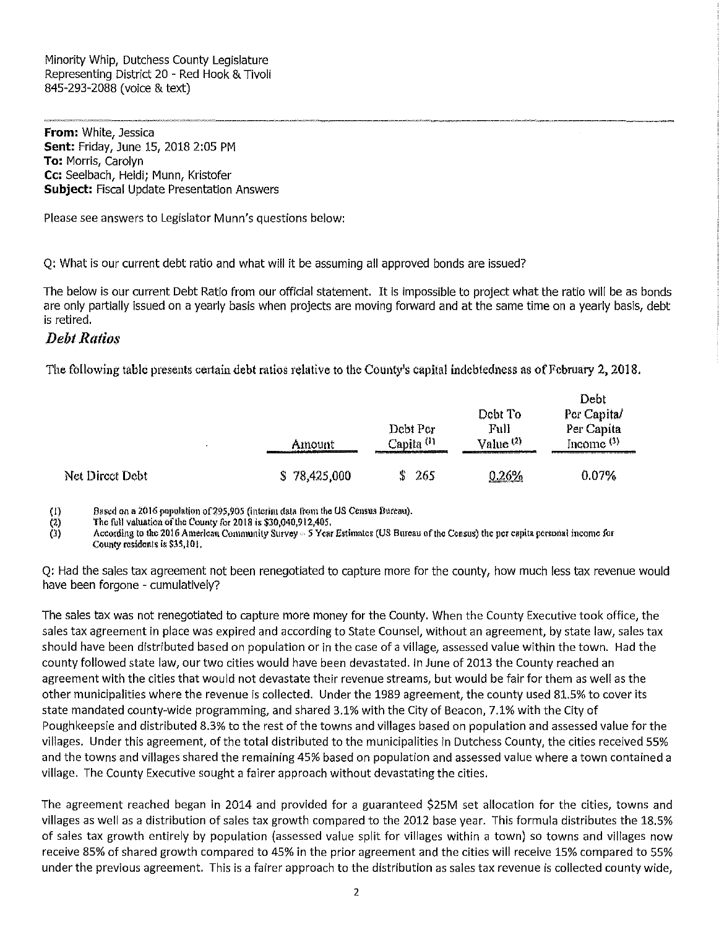Minority Whip, Dutchess County Legislature Representing District 20 - Red Hook & Tivoli 845-293-2088 (voice & text)

**From:** White, Jessica **Sent:** Friday, June 15, 2018 2:05 PM **To:** Morris, Carolyn **Cc:** Seelbach, Heidi; Munn, Kristofer **Subject:** Fiscal Update Presentation Answers

Please see answers to Legislator Munn's questions below:

Q: What is our current debt ratio and what will it be assuming all approved bonds are issued?

The below is our current Debt Ratio from our official statement. It is impossible to project what the ratio will be as bonds are only partially issued on a yearly basis when projects are moving forward and at the same time on a yearly basis, debt is retired.

# *Debt Ratios*

The following table presents certain debt ratios relative to the County's capital indebtedness as of February 2, 2018.

|                 | Amount       | Debt Per<br>Capita <sup>(1)</sup> | Debt To<br>Full<br>Value <sup>(2)</sup> | Debt<br>Per Capital<br>Per Capita<br>Income $(3)$ |
|-----------------|--------------|-----------------------------------|-----------------------------------------|---------------------------------------------------|
| Net Direct Debt | \$78,425,000 | 265<br>5.                         | 0.26%                                   | 0.07%                                             |

(I) Based on a 2016 population of 295,905 (interim data from the US Census Bureau).<br>(2) The full valuation of the County for 2018 is \$30,040,912,405.<br>(3) According to the 2016 American Community Survey – 5 Year Estimates (

The full valuation of the County for 2018 is \$30,040,912,405,

According to the 2016 American Community Survey - 5 Year Estimates (US Bureau of the Census) the per capita personal income for County residents is \$35,101.

Q: Had the sales tax agreement not been renegotiated to capture more for the county, how much less tax revenue would have been forgone - cumulatively?

The sales tax was not renegotiated to capture more money for the County. When the County Executive took office, the sales tax agreement in place was expired and according to State Counsel, without an agreement, by state law, sales tax should have been distributed based on population or in the case of a village, assessed value within the town. Had the county followed state law, our two cities would have been devastated. In June of 2013 the County reached an agreement with the cities that would not devastate their revenue streams, but would be fair for them as well as the other municipalities where the revenue is collected. Under the 1989 agreement, the county used 81.5% to *cover* its state mandated county-wide programming, and shared 3.1% with the City of Beacon, 7.1% with the City of Poughkeepsie and distributed 8.3% to the rest of the towns and villages based on population and assessed value for the villages. Under this agreement, of the total distributed to the municipalities in Dutchess County, the cities received 55% and the towns and villages shared the remaining 45% based on population and assessed value where a town contained a village. The County Executive sought a fairer approach without devastating the cities.

The agreement reached began in 2014 and provided for a guaranteed \$25M set allocation for the cities, towns and villages as well as a distribution of sales tax growth compared to the 2012 base year. This formula distributes the 18.5% of sales tax growth entirely by population (assessed value split for villages within a town) so towns and villages now receive 85% of shared growth compared to 45% in the prior agreement and the cities will receive 15% compared to 55% under the previous agreement. This is a fairer approach to the distribution as sales tax revenue is collected county wide,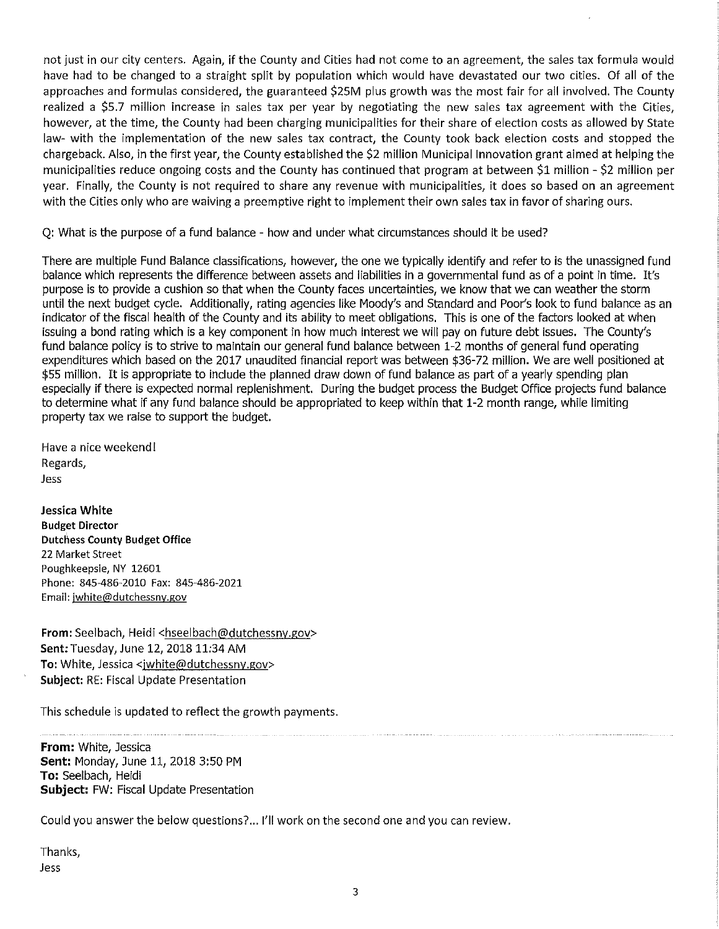not just in our city centers. Again, if the County and Cities had not come to an agreement, the sales tax formula would have had to be changed to a straight split by population which would have devastated our two cities. Of all of the approaches and formulas considered, the guaranteed \$2SM plus growth was the most fair for all involved. The County realized a \$5.7 million increase in sales tax per year by negotiating the new sales tax agreement with the Cities, however, at the time, the County had been charging municipalities for their share of election costs as allowed by State law- with the implementation of the new sales tax contract, the County took back election costs and stopped the chargeback. Also, in the first year, the County established the \$2 million Municipal Innovation grant aimed at helping the municipalities reduce ongoing costs and the County has continued that program at between \$1 million - \$2 million per year. Finally, the County is not required to share any revenue with municipalities, it does so based on an agreement with the Cities only who are waiving a preemptive right to implement their own sales tax in favor of sharing ours.

# Q: What is the purpose of a fund balance - how and under what circumstances should it be used?

There are multiple Fund Balance classifications, however, the one we typically identify and refer to is the unassigned fund balance which represents the difference between assets and liabilities in a governmental fund as of a point in time. It's purpose is to provide a cushion so that when the County faces uncertainties, we know that we can weather the storm until the next budget cycle. Additionally, rating agencies like Moody's and Standard and Poor's look to fund balance as an indicator of the fiscal health of the County and its ability to meet obligations. This is one of the factors looked at when issuing a bond rating which is a key component in how much interest we will pay on future debt issues. The County's fund balance policy is to strive to maintain our general fund balance between 1-2 months of general fund operating expenditures which based on the 2017 unaudited financial report was between \$36-72 million. We are well positioned at \$55 million. It is appropriate to include the planned draw down of fund balance as part of a yearly spending plan especially if there is expected normal replenishment. During the budget process the Budget Office projects fund balance to determine what if any fund balance should be appropriated to keep within that 1-2 month range, while limiting property tax we raise to support the budget.

Have a nice weekend! Regards, Jess

Jessica White Budget Director Dutchess County Budget Office 22 Market Street Poughkeepsie, NY 12601 Phone: 845-486-2010 Fax: 845-486-2021 Email: jwhite@dutchessny.gov

From: Seelbach, Heidi <hseelbach@dutchessny.gov> Sent: Tuesday, June 12, 2018 11:34 AM To: White, Jessica <jwhite@dutchessny.gov> Subject: RE: Fiscal Update Presentation

This schedule is updated to reflect the growth payments.

**From:** White, Jessica **Sent:** Monday, June 11, 2018 3:50 PM **To:** Seelbach, Heidi **Subject:** FW: Fiscal Update Presentation

Could you answer the below questions? ... I'll work on the second one and you can review.

Thanks, Jess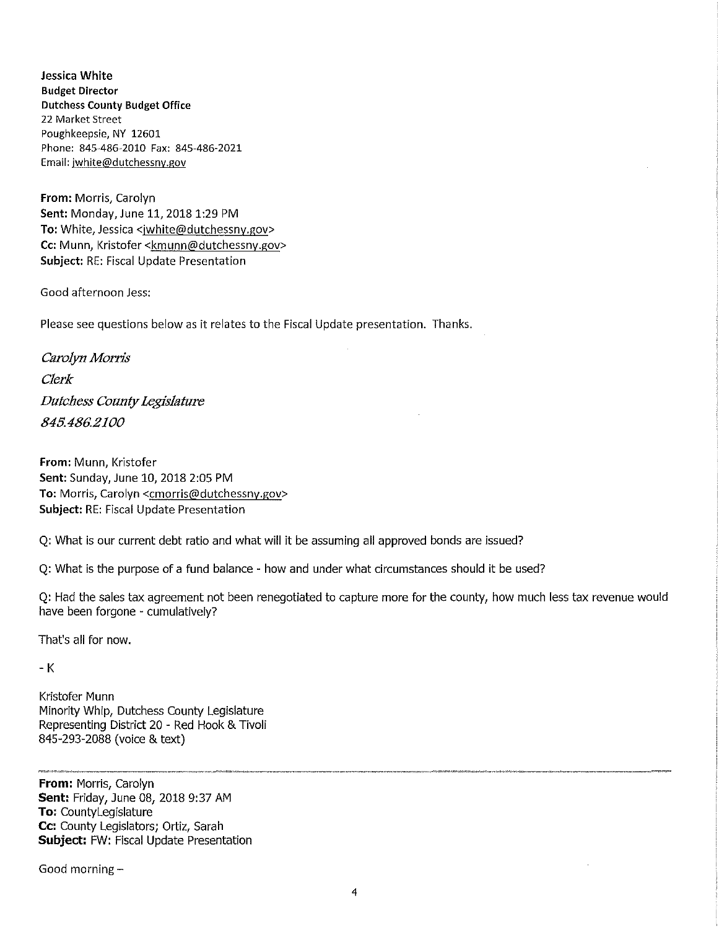Jessica White Budget Director Dutchess County Budget Office 22 Market Street Poughkeepsie, NY 12601 Phone: 845-486-2010 Fax: 845-486-2021 Email: jwhite@dutchessny.gov

From: Morris, Carolyn Sent: Monday, June 11, 2018 1:29 PM To: White, Jessica <iwhite@dutchessny.gov> Cc: Munn, Kristofer <kmunn@dutchessny.gov> Subject: RE: Fiscal Update Presentation

Good afternoon Jess:

Please see questions below as it relates to the Fiscal Update presentation. Thanks.

*Carolyn Morris Clerk Dutchess County Legislature 845.486.2100* 

From: Munn, Kristofer Sent: Sunday, June 10, 2018 2:05 PM To: Morris, Carolyn <cmorris@dutchessny.gov> Subject: RE: Fiscal Update Presentation

Q: What is our current debt ratio and what will it be assuming all approved bonds are issued?

Q: What is the purpose of a fund balance - how and under what circumstances should it be used?

Q: Had the sales tax agreement not been renegotiated to capture more for the county, how much less tax revenue would have been forgone - cumulatively?

That's all for now.

- K

Kristofer Munn Minority Whip, Dutchess County Legislature Representing District 20 - Red Hook & Tivoli 845-293-2088 (voice & text)

**From:** Morris, Carolyn **Sent:** Friday, June 08, 2018 9:37 AM **To:** CountyLegislature Cc: County Legislators; Ortiz, Sarah **Subject:** FW: Fiscal Update Presentation

Good morning -